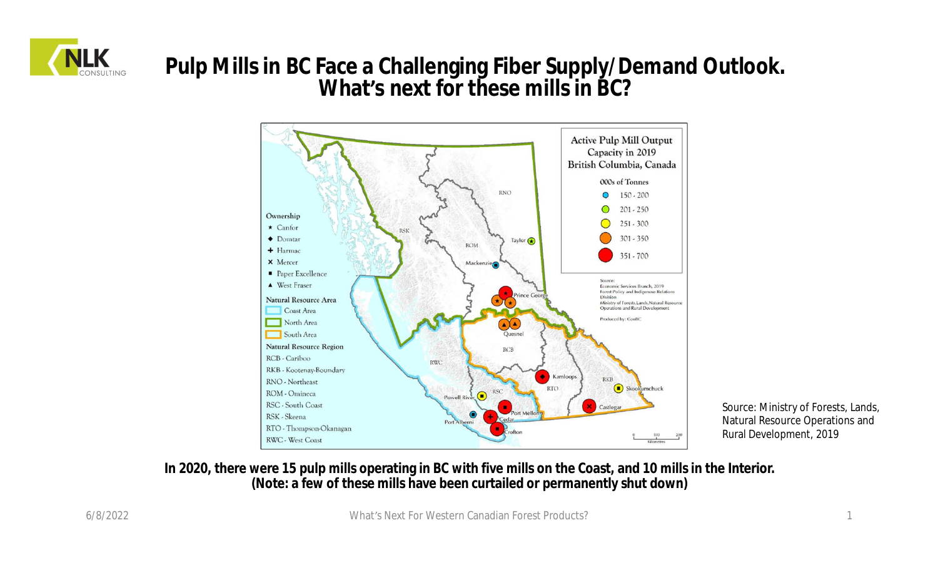

### **Pulp Mills in BC Face a Challenging Fiber Supply/Demand Outlook. What's next for these mills in BC?**



Source: Ministry of Forests, Lands, Natural Resource Operations and Rural Development, 2019

#### **In 2020, there were 15 pulp mills operating in BC with five mills on the Coast, and 10 mills in the Interior. (Note: a few of these mills have been curtailed or permanently shut down)**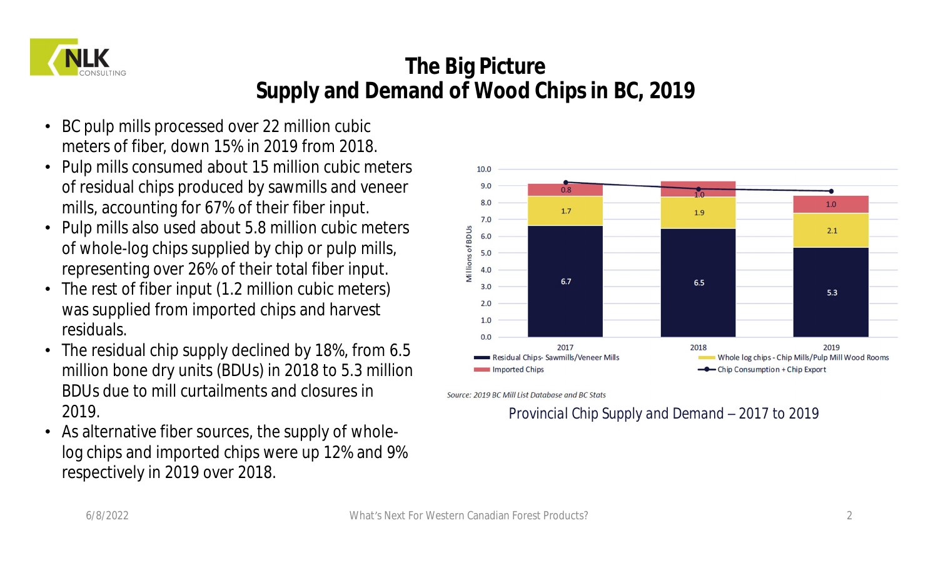

# **The Big Picture Supply and Demand of Wood Chips in BC, 2019**

- BC pulp mills processed over 22 million cubic meters of fiber, down 15% in 2019 from 2018.
- Pulp mills consumed about 15 million cubic meters of residual chips produced by sawmills and veneer mills, accounting for 67% of their fiber input.
- Pulp mills also used about 5.8 million cubic meters of whole-log chips supplied by chip or pulp mills, representing over 26% of their total fiber input.
- The rest of fiber input (1.2 million cubic meters) was supplied from imported chips and harvest residuals.
- The residual chip supply declined by 18%, from 6.5 million bone dry units (BDUs) in 2018 to 5.3 million BDUs due to mill curtailments and closures in 2019.
- As alternative fiber sources, the supply of wholelog chips and imported chips were up 12% and 9% respectively in 2019 over 2018.



Source: 2019 BC Mill List Database and BC Stats

### *Provincial Chip Supply and Demand – 2017 to 2019*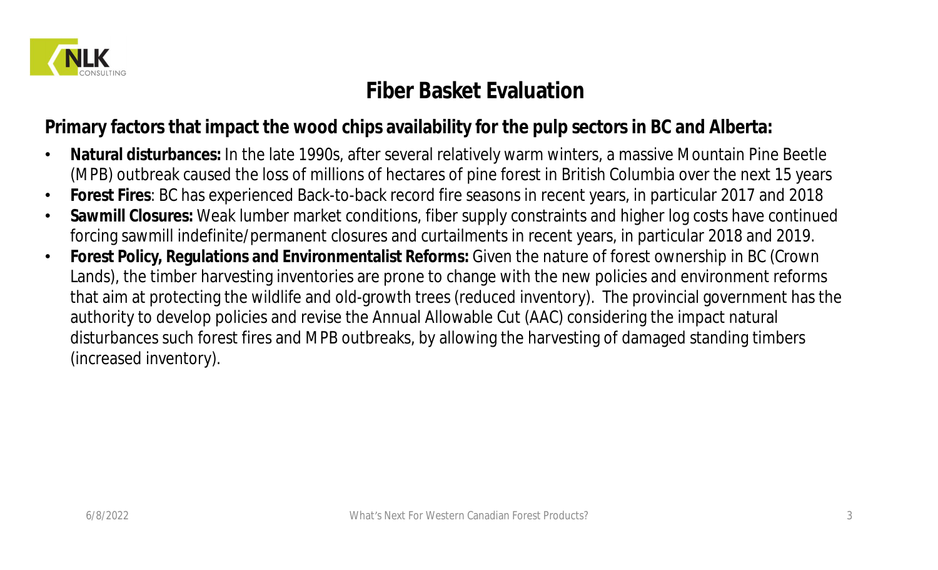

### **Fiber Basket Evaluation**

**Primary factors that impact the wood chips availability for the pulp sectors in BC and Alberta:**

- **Natural disturbances:** In the late 1990s, after several relatively warm winters, a massive Mountain Pine Beetle (MPB) outbreak caused the loss of millions of hectares of pine forest in British Columbia over the next 15 years
- **Forest Fires**: BC has experienced Back-to-back record fire seasons in recent years, in particular 2017 and 2018
- **Sawmill Closures:** Weak lumber market conditions, fiber supply constraints and higher log costs have continued forcing sawmill indefinite/permanent closures and curtailments in recent years, in particular 2018 and 2019.
- **Forest Policy, Regulations and Environmentalist Reforms:** Given the nature of forest ownership in BC (Crown Lands), the timber harvesting inventories are prone to change with the new policies and environment reforms that aim at protecting the wildlife and old-growth trees (reduced inventory). The provincial government has the authority to develop policies and revise the Annual Allowable Cut (AAC) considering the impact natural disturbances such forest fires and MPB outbreaks, by allowing the harvesting of damaged standing timbers (increased inventory).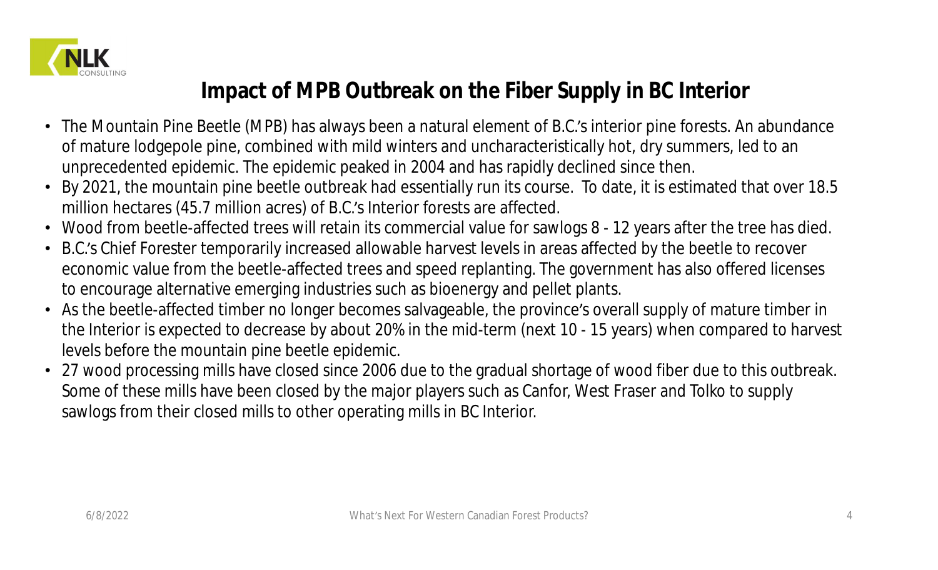

# **Impact of MPB Outbreak on the Fiber Supply in BC Interior**

- The Mountain Pine Beetle (MPB) has always been a natural element of B.C.'s interior pine forests. An abundance of mature lodgepole pine, combined with mild winters and uncharacteristically hot, dry summers, led to an unprecedented epidemic. The epidemic peaked in 2004 and has rapidly declined since then.
- By 2021, the mountain pine beetle outbreak had essentially run its course. To date, it is estimated that over 18.5 million hectares (45.7 million acres) of B.C.'s Interior forests are affected.
- Wood from beetle-affected trees will retain its commercial value for sawlogs 8 12 years after the tree has died.
- B.C.'s Chief Forester temporarily increased allowable harvest levels in areas affected by the beetle to recover economic value from the beetle-affected trees and speed replanting. The government has also offered licenses to encourage alternative emerging industries such as bioenergy and pellet plants.
- As the beetle-affected timber no longer becomes salvageable, the province's overall supply of mature timber in the Interior is expected to decrease by about 20% in the mid-term (next 10 - 15 years) when compared to harvest levels before the mountain pine beetle epidemic.
- 27 wood processing mills have closed since 2006 due to the gradual shortage of wood fiber due to this outbreak. Some of these mills have been closed by the major players such as Canfor, West Fraser and Tolko to supply sawlogs from their closed mills to other operating mills in BC Interior.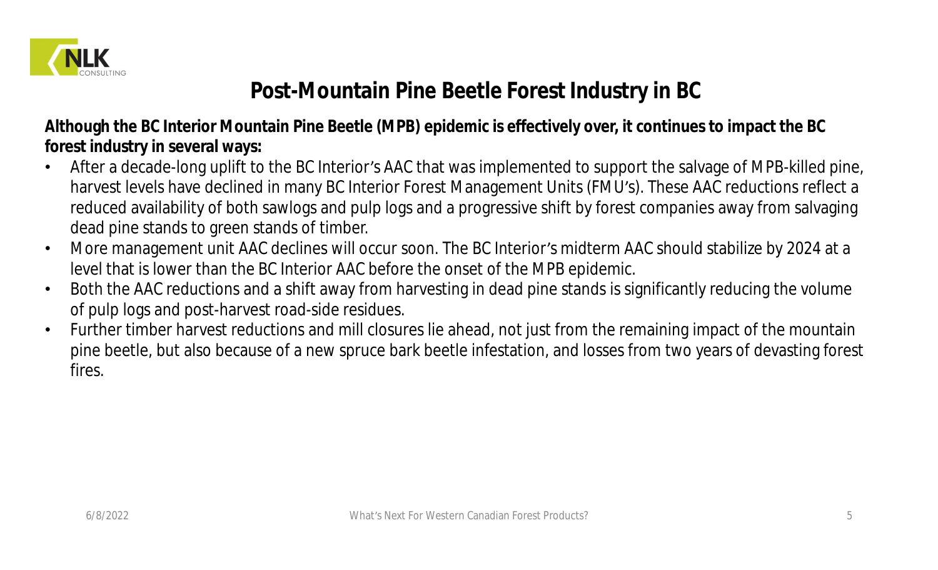

# **Post-Mountain Pine Beetle Forest Industry in BC**

**Although the BC Interior Mountain Pine Beetle (MPB) epidemic is effectively over, it continues to impact the BC forest industry in several ways:**

- After a decade-long uplift to the BC Interior's AAC that was implemented to support the salvage of MPB-killed pine, harvest levels have declined in many BC Interior Forest Management Units (FMU's). These AAC reductions reflect a reduced availability of both sawlogs and pulp logs and a progressive shift by forest companies away from salvaging dead pine stands to green stands of timber.
- More management unit AAC declines will occur soon. The BC Interior's midterm AAC should stabilize by 2024 at a level that is lower than the BC Interior AAC before the onset of the MPB epidemic.
- Both the AAC reductions and a shift away from harvesting in dead pine stands is significantly reducing the volume of pulp logs and post-harvest road-side residues.
- Further timber harvest reductions and mill closures lie ahead, not just from the remaining impact of the mountain pine beetle, but also because of a new spruce bark beetle infestation, and losses from two years of devasting forest fires.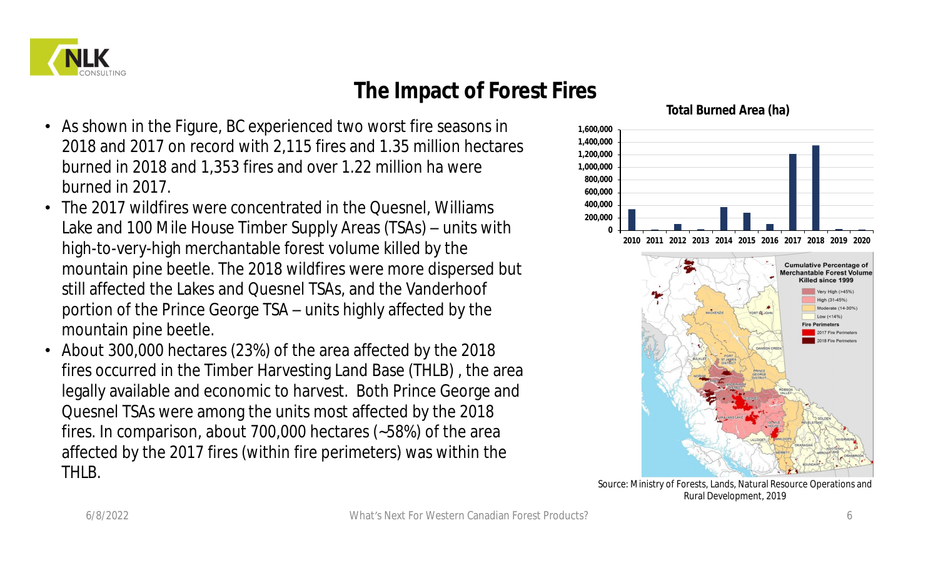

### **The Impact of Forest Fires**

- As shown in the Figure, BC experienced two worst fire seasons in 2018 and 2017 on record with 2,115 fires and 1.35 million hectares burned in 2018 and 1,353 fires and over 1.22 million ha were burned in 2017.
- The 2017 wildfires were concentrated in the Quesnel, Williams Lake and 100 Mile House Timber Supply Areas (TSAs) – units with high-to-very-high merchantable forest volume killed by the mountain pine beetle. The 2018 wildfires were more dispersed but still affected the Lakes and Quesnel TSAs, and the Vanderhoof portion of the Prince George TSA – units highly affected by the mountain pine beetle.
- About 300,000 hectares (23%) of the area affected by the 2018 fires occurred in the Timber Harvesting Land Base (THLB) , the area legally available and economic to harvest. Both Prince George and Quesnel TSAs were among the units most affected by the 2018 fires. In comparison, about 700,000 hectares (~58%) of the area affected by the 2017 fires (within fire perimeters) was within the THLB.



#### **Total Burned Area (ha)**

Source: Ministry of Forests, Lands, Natural Resource Operations and Rural Development, 2019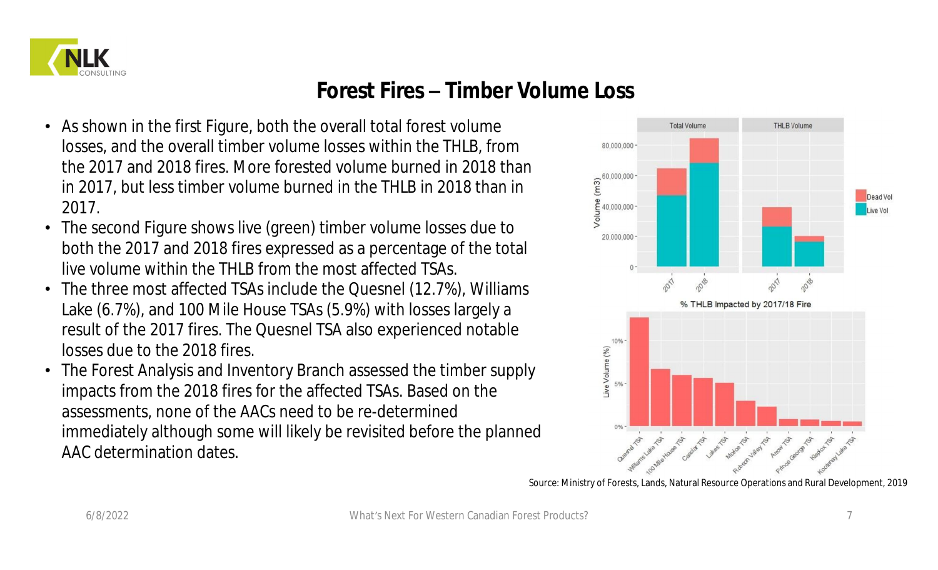

### **Forest Fires – Timber Volume Loss**

- As shown in the first Figure, both the overall total forest volume losses, and the overall timber volume losses within the THLB, from the 2017 and 2018 fires. More forested volume burned in 2018 than in 2017, but less timber volume burned in the THLB in 2018 than in 2017.
- The second Figure shows live (green) timber volume losses due to both the 2017 and 2018 fires expressed as a percentage of the total live volume within the THLB from the most affected TSAs.
- The three most affected TSAs include the Quesnel (12.7%), Williams Lake (6.7%), and 100 Mile House TSAs (5.9%) with losses largely a result of the 2017 fires. The Quesnel TSA also experienced notable losses due to the 2018 fires.
- The Forest Analysis and Inventory Branch assessed the timber supply impacts from the 2018 fires for the affected TSAs. Based on the assessments, none of the AACs need to be re-determined immediately although some will likely be revisited before the planned AAC determination dates.



Source: Ministry of Forests, Lands, Natural Resource Operations and Rural Development, 2019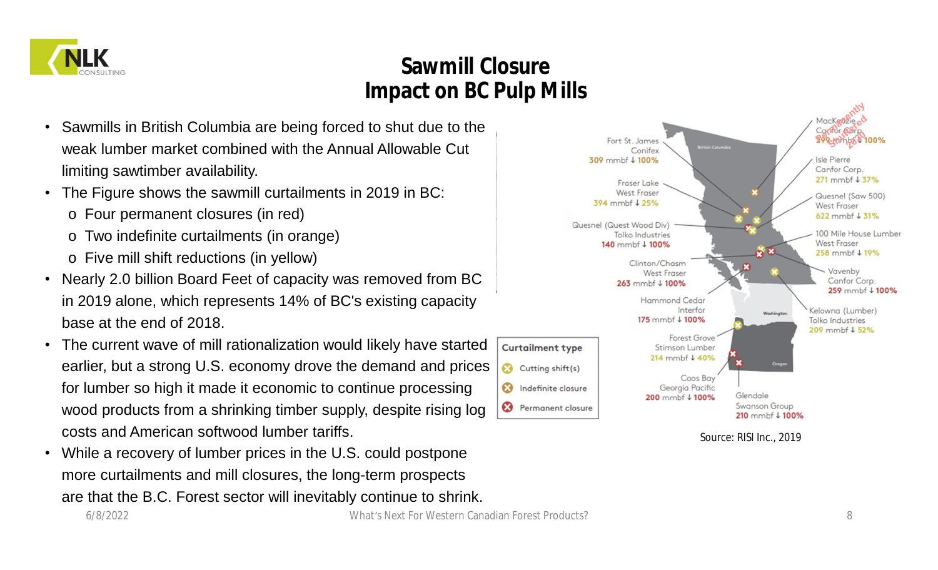

# **Sawmill Closure Impact on BC Pulp Mills**

- Sawmills in British Columbia are being forced to shut due to the weak lumber market combined with the Annual Allowable Cut limiting sawtimber availability.
- The Figure shows the sawmill curtailments in 2019 in BC:
	- o Four permanent closures (in red)
	- o Two indefinite curtailments (in orange)
	- o Five mill shift reductions (in yellow)
- Nearly 2.0 billion Board Feet of capacity was removed from BC in 2019 alone, which represents 14% of BC's existing capacity base at the end of 2018.
- The current wave of mill rationalization would likely have started earlier, but a strong U.S. economy drove the demand and prices for lumber so high it made it economic to continue processing wood products from a shrinking timber supply, despite rising log costs and American softwood lumber tariffs.
- While a recovery of lumber prices in the U.S. could postpone more curtailments and mill closures, the long-term prospects are that the B.C. Forest sector will inevitably continue to shrink.



Source: RISI Inc., 2019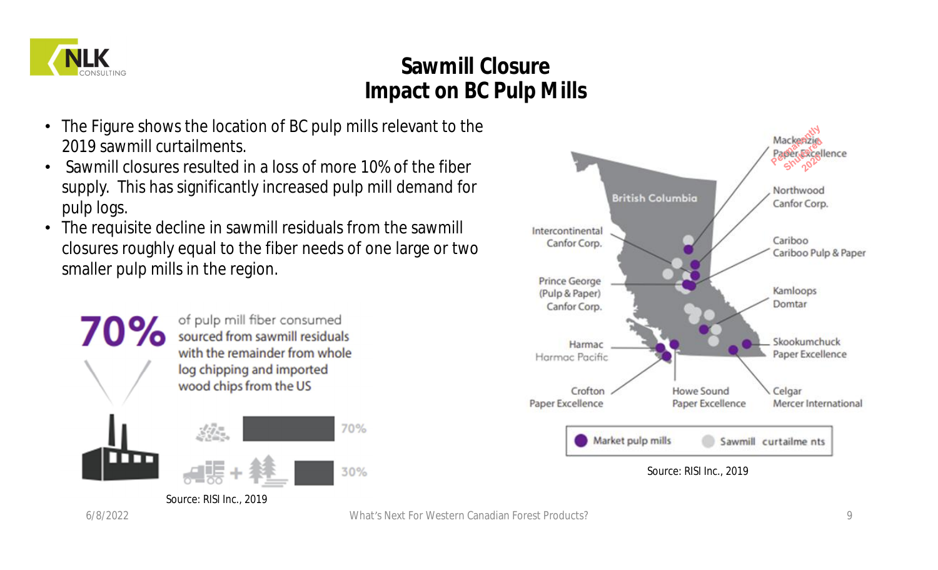

# **Sawmill Closure Impact on BC Pulp Mills**

- The Figure shows the location of BC pulp mills relevant to the 2019 sawmill curtailments.
- Sawmill closures resulted in a loss of more 10% of the fiber supply. This has significantly increased pulp mill demand for pulp logs.
- The requisite decline in sawmill residuals from the sawmill closures roughly equal to the fiber needs of one large or two smaller pulp mills in the region.



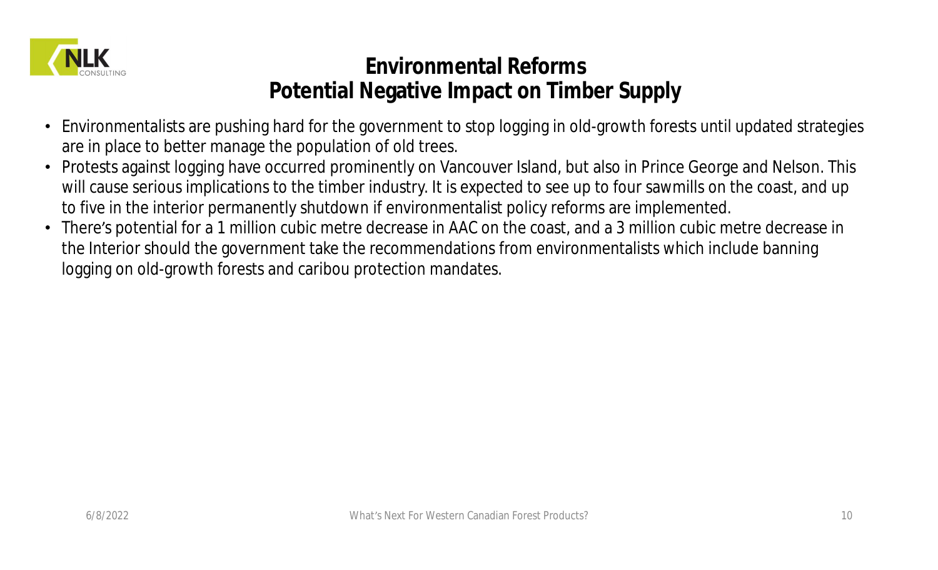

### **Environmental Reforms Potential Negative Impact on Timber Supply**

- Environmentalists are pushing hard for the government to stop logging in old-growth forests until updated strategies are in place to better manage the population of old trees.
- Protests against logging have occurred prominently on Vancouver Island, but also in Prince George and Nelson. This will cause serious implications to the timber industry. It is expected to see up to four sawmills on the coast, and up to five in the interior permanently shutdown if environmentalist policy reforms are implemented.
- There's potential for a 1 million cubic metre decrease in AAC on the coast, and a 3 million cubic metre decrease in the Interior should the government take the recommendations from environmentalists which include banning logging on old-growth forests and caribou protection mandates.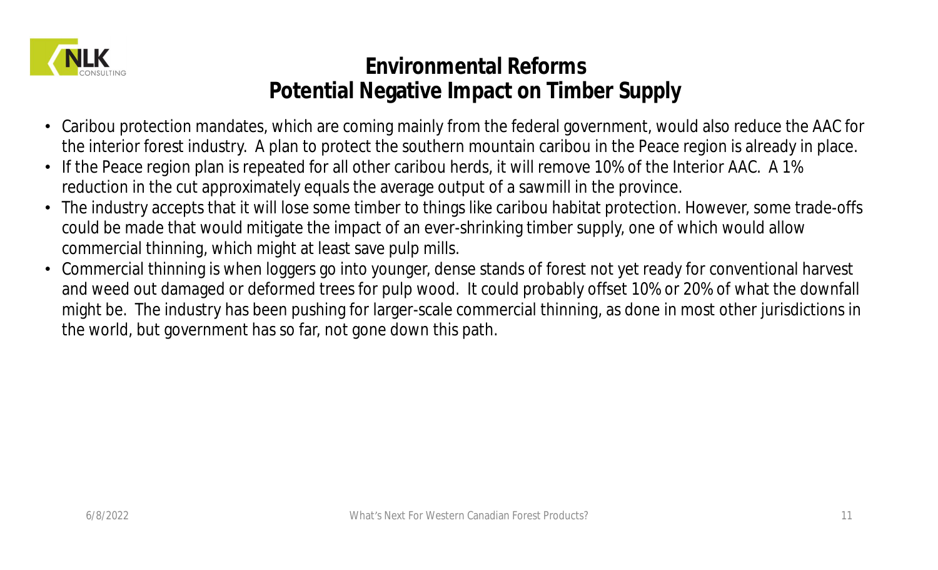

# **Environmental Reforms Potential Negative Impact on Timber Supply**

- Caribou protection mandates, which are coming mainly from the federal government, would also reduce the AAC for the interior forest industry. A plan to protect the southern mountain caribou in the Peace region is already in place.
- If the Peace region plan is repeated for all other caribou herds, it will remove 10% of the Interior AAC. A 1% reduction in the cut approximately equals the average output of a sawmill in the province.
- The industry accepts that it will lose some timber to things like caribou habitat protection. However, some trade-offs could be made that would mitigate the impact of an ever-shrinking timber supply, one of which would allow commercial thinning, which might at least save pulp mills.
- Commercial thinning is when loggers go into younger, dense stands of forest not yet ready for conventional harvest and weed out damaged or deformed trees for pulp wood. It could probably offset 10% or 20% of what the downfall might be. The industry has been pushing for larger-scale commercial thinning, as done in most other jurisdictions in the world, but government has so far, not gone down this path.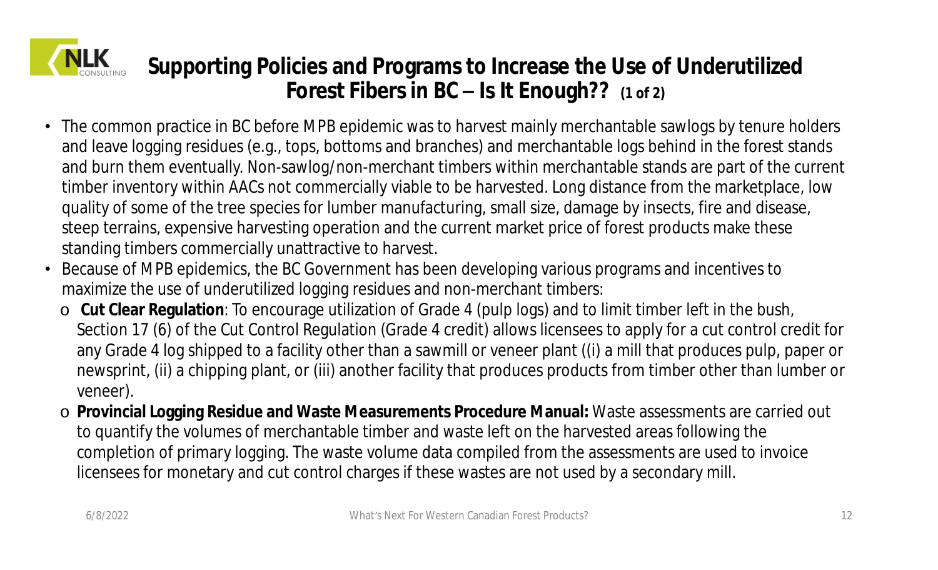

**Supporting Policies and Programs to Increase the Use of Underutilized Forest Fibers in BC – Is It Enough?? (1 of 2)**

- The common practice in BC before MPB epidemic was to harvest mainly merchantable sawlogs by tenure holders and leave logging residues (e.g., tops, bottoms and branches) and merchantable logs behind in the forest stands and burn them eventually. Non-sawlog/non-merchant timbers within merchantable stands are part of the current timber inventory within AACs not commercially viable to be harvested. Long distance from the marketplace, low quality of some of the tree species for lumber manufacturing, small size, damage by insects, fire and disease, steep terrains, expensive harvesting operation and the current market price of forest products make these standing timbers commercially unattractive to harvest.
- Because of MPB epidemics, the BC Government has been developing various programs and incentives to maximize the use of underutilized logging residues and non-merchant timbers:
	- o **Cut Clear Regulation**: To encourage utilization of Grade 4 (pulp logs) and to limit timber left in the bush, Section 17 (6) of the Cut Control Regulation (Grade 4 credit) allows licensees to apply for a cut control credit for any Grade 4 log shipped to a facility other than a sawmill or veneer plant ((i) a mill that produces pulp, paper or newsprint, (ii) a chipping plant, or (iii) another facility that produces products from timber other than lumber or veneer).
	- o **Provincial Logging Residue and Waste Measurements Procedure Manual:** Waste assessments are carried out to quantify the volumes of merchantable timber and waste left on the harvested areas following the completion of primary logging. The waste volume data compiled from the assessments are used to invoice licensees for monetary and cut control charges if these wastes are not used by a secondary mill.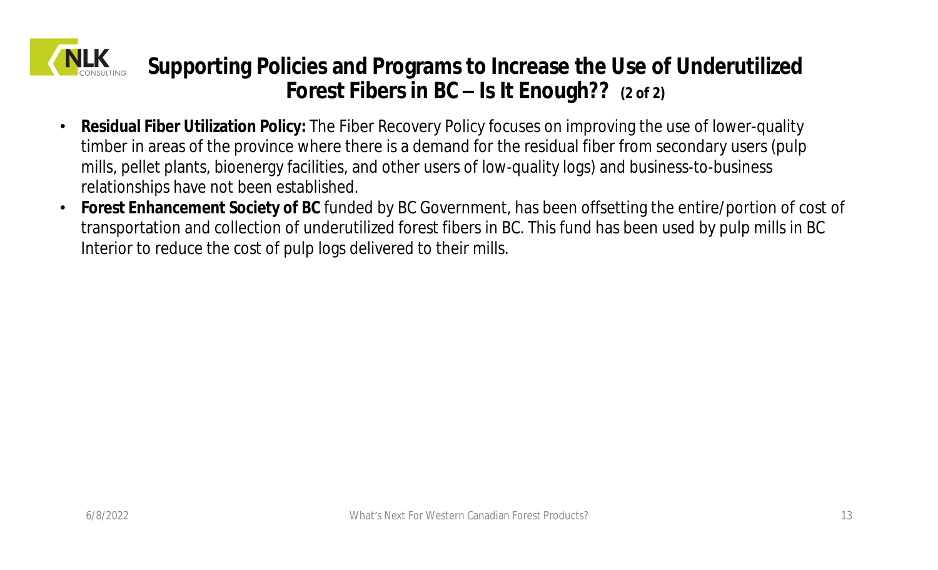

**Supporting Policies and Programs to Increase the Use of Underutilized Forest Fibers in BC – Is It Enough?? (2 of 2)**

- **Residual Fiber Utilization Policy:** The Fiber Recovery Policy focuses on improving the use of lower-quality timber in areas of the province where there is a demand for the residual fiber from secondary users (pulp mills, pellet plants, bioenergy facilities, and other users of low-quality logs) and business-to-business relationships have not been established.
- **Forest Enhancement Society of BC** funded by BC Government, has been offsetting the entire/portion of cost of transportation and collection of underutilized forest fibers in BC. This fund has been used by pulp mills in BC Interior to reduce the cost of pulp logs delivered to their mills.